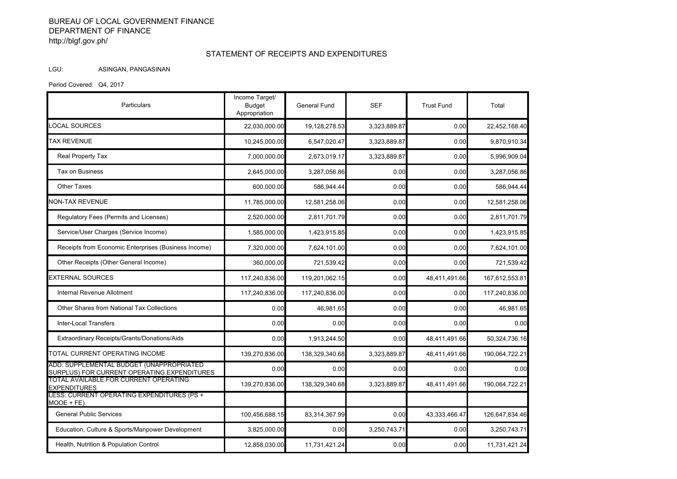## BUREAU OF LOCAL GOVERNMENT FINANCE DEPARTMENT OF FINANCE http://blgf.gov.ph/

## STATEMENT OF RECEIPTS AND EXPENDITURES

## LGU: ASINGAN, PANGASINAN

Period Covered: Q4, 2017

| Particulars                                                                             | Income Target/<br><b>Budget</b><br>Appropriation | <b>General Fund</b> | <b>SEF</b>   | <b>Trust Fund</b> | Total          |
|-----------------------------------------------------------------------------------------|--------------------------------------------------|---------------------|--------------|-------------------|----------------|
| LOCAL SOURCES                                                                           | 22,030,000.00                                    | 19,128,278.53       | 3,323,889.87 | 0.00              | 22,452,168.40  |
| <b>TAX REVENUE</b>                                                                      | 10,245,000.00                                    | 6,547,020.47        | 3,323,889.87 | 0.00              | 9,870,910.34   |
| Real Property Tax                                                                       | 7,000,000.00                                     | 2,673,019.17        | 3,323,889.87 | 0.00              | 5,996,909.04   |
| Tax on Business                                                                         | 2,645,000.00                                     | 3,287,056.86        | 0.00         | 0.00              | 3,287,056.86   |
| <b>Other Taxes</b>                                                                      | 600,000.00                                       | 586,944.44          | 0.00         | 0.00              | 586,944.44     |
| <b>NON-TAX REVENUE</b>                                                                  | 11,785,000.00                                    | 12,581,258.06       | 0.00         | 0.00              | 12,581,258.06  |
| Regulatory Fees (Permits and Licenses)                                                  | 2,520,000.00                                     | 2,811,701.79        | 0.00         | 0.00              | 2,811,701.79   |
| Service/User Charges (Service Income)                                                   | 1,585,000.00                                     | 1,423,915.85        | 0.00         | 0.00              | 1,423,915.85   |
| Receipts from Economic Enterprises (Business Income)                                    | 7,320,000.00                                     | 7,624,101.00        | 0.00         | 0.00              | 7,624,101.00   |
| Other Receipts (Other General Income)                                                   | 360,000.00                                       | 721,539.42          | 0.00         | 0.00              | 721,539.42     |
| <b>EXTERNAL SOURCES</b>                                                                 | 117.240.836.00                                   | 119,201,062.15      | 0.00         | 48,411,491.66     | 167,612,553.81 |
| <b>Internal Revenue Allotment</b>                                                       | 117,240,836.00                                   | 117,240,836.00      | 0.00         | 0.00              | 117,240,836.00 |
| Other Shares from National Tax Collections                                              | 0.00                                             | 46.981.65           | 0.00         | 0.00              | 46,981.65      |
| <b>Inter-Local Transfers</b>                                                            | 0.00                                             | 0.00                | 0.00         | 0.00              | 0.00           |
| Extraordinary Receipts/Grants/Donations/Aids                                            | 0.00                                             | 1,913,244.50        | 0.00         | 48,411,491.66     | 50,324,736.16  |
| TOTAL CURRENT OPERATING INCOME                                                          | 139.270.836.00                                   | 138,329,340.68      | 3.323.889.87 | 48,411,491.66     | 190,064,722.21 |
| ADD: SUPPLEMENTAL BUDGET (UNAPPROPRIATED<br>SURPLUS) FOR CURRENT OPERATING EXPENDITURES | 0.00                                             | 0.00                | 0.00         | 0.00              | 0.00           |
| TOTAL AVAILABLE FOR CURRENT OPERATING<br><b>EXPENDITURES</b>                            | 139,270,836.00                                   | 138,329,340.68      | 3,323,889.87 | 48,411,491.66     | 190,064,722.21 |
| LESS: CURRENT OPERATING EXPENDITURES (PS +<br>MOOE + FE)                                |                                                  |                     |              |                   |                |
| <b>General Public Services</b>                                                          | 100,456,688.15                                   | 83,314,367.99       | 0.00         | 43,333,466.47     | 126,647,834.46 |
| Education, Culture & Sports/Manpower Development                                        | 3,825,000.00                                     | 0.00                | 3,250,743.71 | 0.00              | 3,250,743.71   |
| Health, Nutrition & Population Control                                                  | 12,858,030.00                                    | 11,731,421.24       | 0.00         | 0.00              | 11,731,421.24  |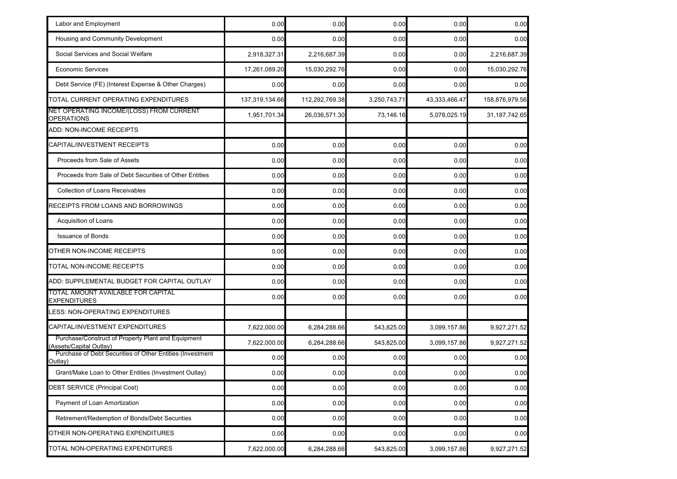| Labor and Employment                                                          | 0.00           | 0.00           | 0.00         | 0.00          | 0.00            |
|-------------------------------------------------------------------------------|----------------|----------------|--------------|---------------|-----------------|
| Housing and Community Development                                             | 0.00           | 0.00           | 0.00         | 0.00          | 0.00            |
| Social Services and Social Welfare                                            | 2,918,327.31   | 2,216,687.39   | 0.00         | 0.00          | 2,216,687.39    |
| <b>Economic Services</b>                                                      | 17,261,089.20  | 15,030,292.76  | 0.00         | 0.00          | 15,030,292.76   |
| Debt Service (FE) (Interest Expense & Other Charges)                          | 0.00           | 0.00           | 0.00         | 0.00          | 0.00            |
| TOTAL CURRENT OPERATING EXPENDITURES                                          | 137,319,134.66 | 112,292,769.38 | 3,250,743.71 | 43,333,466.47 | 158,876,979.56  |
| NET OPERATING INCOME/(LOSS) FROM CURRENT<br><b>OPERATIONS</b>                 | 1,951,701.34   | 26,036,571.30  | 73,146.16    | 5,078,025.19  | 31, 187, 742.65 |
| ADD: NON-INCOME RECEIPTS                                                      |                |                |              |               |                 |
| CAPITAL/INVESTMENT RECEIPTS                                                   | 0.00           | 0.00           | 0.00         | 0.00          | 0.00            |
| Proceeds from Sale of Assets                                                  | 0.00           | 0.00           | 0.00         | 0.00          | 0.00            |
| Proceeds from Sale of Debt Securities of Other Entities                       | 0.00           | 0.00           | 0.00         | 0.00          | 0.00            |
| <b>Collection of Loans Receivables</b>                                        | 0.00           | 0.00           | 0.00         | 0.00          | 0.00            |
| RECEIPTS FROM LOANS AND BORROWINGS                                            | 0.00           | 0.00           | 0.00         | 0.00          | 0.00            |
| Acquisition of Loans                                                          | 0.00           | 0.00           | 0.00         | 0.00          | 0.00            |
| <b>Issuance of Bonds</b>                                                      | 0.00           | 0.00           | 0.00         | 0.00          | 0.00            |
| OTHER NON-INCOME RECEIPTS                                                     | 0.00           | 0.00           | 0.00         | 0.00          | 0.00            |
| TOTAL NON-INCOME RECEIPTS                                                     | 0.00           | 0.00           | 0.00         | 0.00          | 0.00            |
| ADD: SUPPLEMENTAL BUDGET FOR CAPITAL OUTLAY                                   | 0.00           | 0.00           | 0.00         | 0.00          | 0.00            |
| TOTAL AMOUNT AVAILABLE FOR CAPITAL<br><b>EXPENDITURES</b>                     | 0.00           | 0.00           | 0.00         | 0.00          | 0.00            |
| LESS: NON-OPERATING EXPENDITURES                                              |                |                |              |               |                 |
| CAPITAL/INVESTMENT EXPENDITURES                                               | 7,622,000.00   | 6,284,288.66   | 543,825.00   | 3,099,157.86  | 9,927,271.52    |
| Purchase/Construct of Property Plant and Equipment<br>(Assets/Capital Outlay) | 7,622,000.00   | 6,284,288.66   | 543,825.00   | 3,099,157.86  | 9,927,271.52    |
| Purchase of Debt Securities of Other Entities (Investment<br>Outlay)          | 0.00           | 0.00           | 0.00         | 0.00          | 0.00            |
| Grant/Make Loan to Other Entities (Investment Outlay)                         | 0.00           | 0.00           | 0.00         | 0.00          | 0.00            |
| <b>DEBT SERVICE (Principal Cost)</b>                                          | 0.00           | 0.00           | 0.00         | 0.00          | 0.00            |
| Payment of Loan Amortization                                                  | 0.00           | 0.00           | 0.00         | 0.00          | 0.00            |
| Retirement/Redemption of Bonds/Debt Securities                                | 0.00           | 0.00           | 0.00         | 0.00          | 0.00            |
| OTHER NON-OPERATING EXPENDITURES                                              | 0.00           | 0.00           | 0.00         | 0.00          | 0.00            |
| TOTAL NON-OPERATING EXPENDITURES                                              | 7,622,000.00   | 6,284,288.66   | 543,825.00   | 3,099,157.86  | 9,927,271.52    |